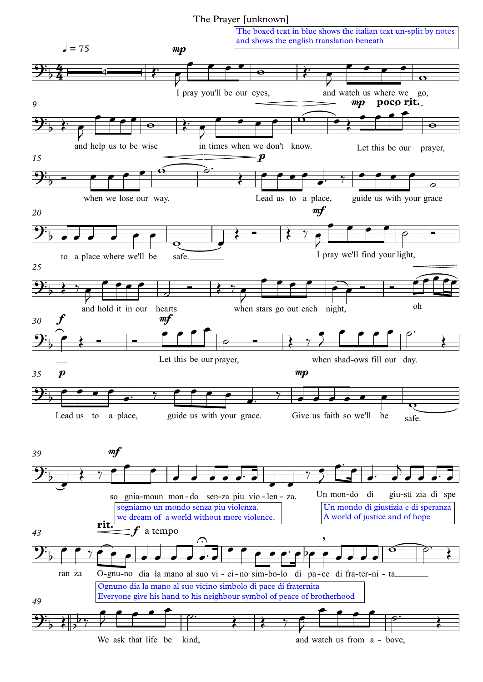